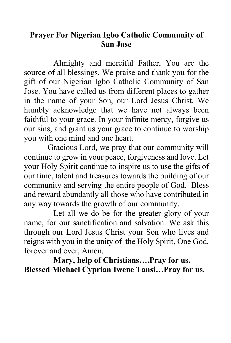## **Prayer For Nigerian Igbo Catholic Community of San Jose**

Almighty and merciful Father, You are the source of all blessings. We praise and thank you for the gift of our Nigerian Igbo Catholic Community of San Jose. You have called us from different places to gather in the name of your Son, our Lord Jesus Christ. We humbly acknowledge that we have not always been faithful to your grace. In your infinite mercy, forgive us our sins, and grant us your grace to continue to worship you with one mind and one heart.

Gracious Lord, we pray that our community will continue to grow in your peace, forgiveness and love. Let your Holy Spirit continue to inspire us to use the gifts of our time, talent and treasures towards the building of our community and serving the entire people of God. Bless and reward abundantly all those who have contributed in any way towards the growth of our community.

Let all we do be for the greater glory of your name, for our sanctification and salvation. We ask this through our Lord Jesus Christ your Son who lives and reigns with you in the unity of the Holy Spirit, One God, forever and ever, Amen.

**Mary, help of Christians….Pray for us. Blessed Michael Cyprian Iwene Tansi…Pray for us.**